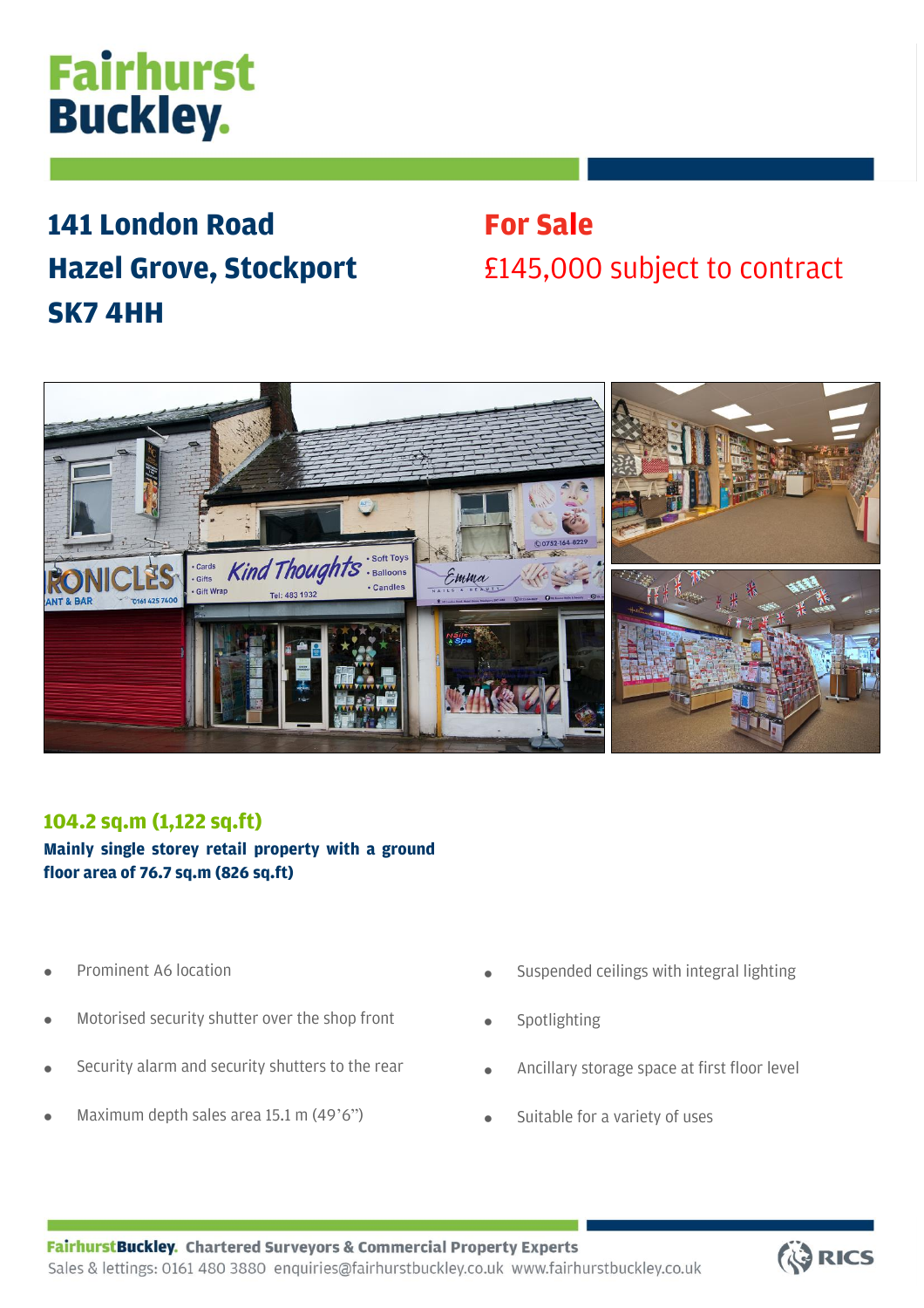# **Fairhurst Buckley.**

## **141 London Road Hazel Grove, Stockport SK7 4HH**

## **For Sale** £145,000 subject to contract



### **104.2 sq.m (1,122 sq.ft)**

**Mainly single storey retail property with a ground floor area of 76.7 sq.m (826 sq.ft)**

- Prominent A6 location
- Motorised security shutter over the shop front
- Security alarm and security shutters to the rear
- Maximum depth sales area 15.1 m (49'6")
- Suspended ceilings with integral lighting
- **Spotlighting**
- Ancillary storage space at first floor level
- Suitable for a variety of uses

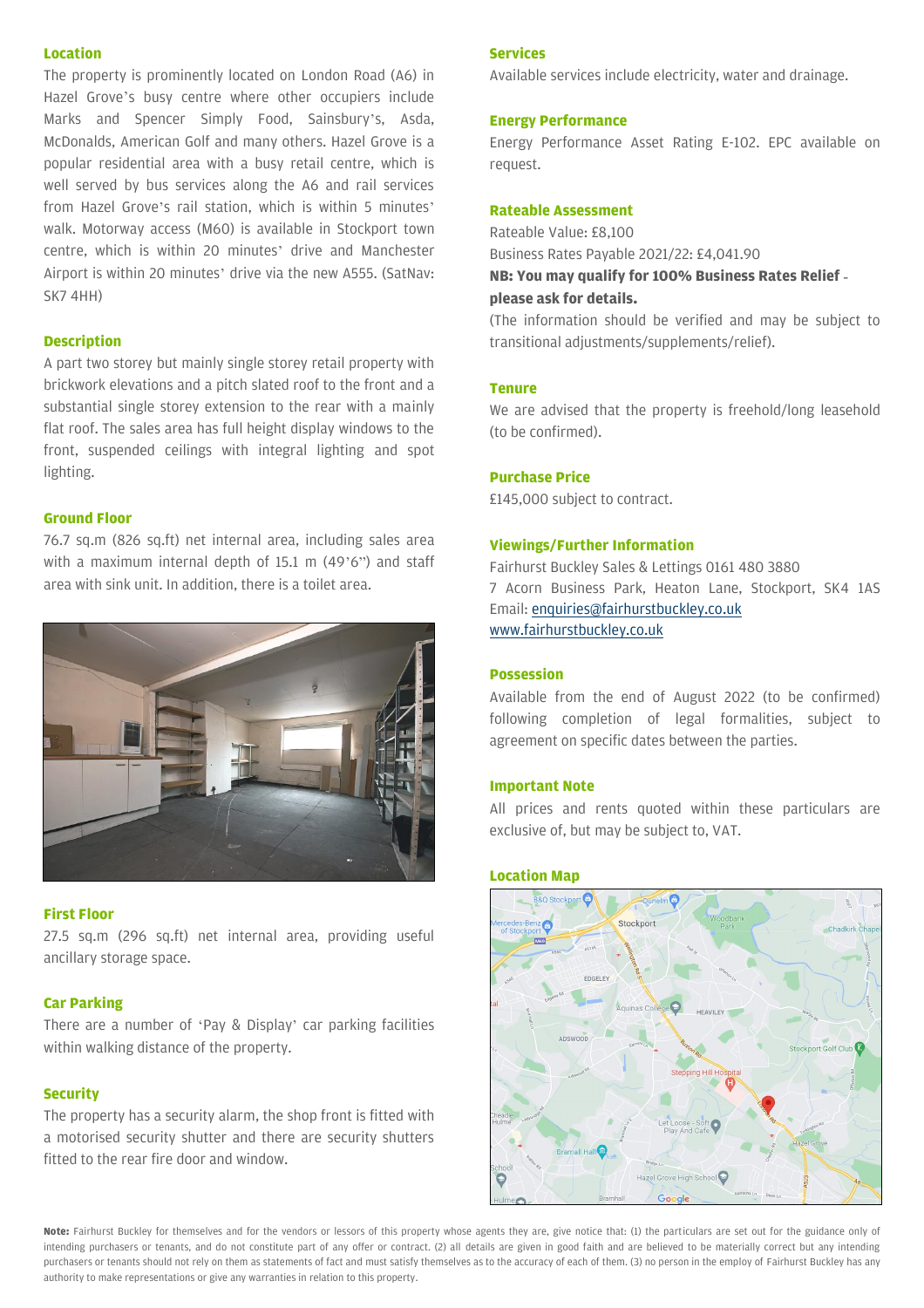#### **Location**

The property is prominently located on London Road (A6) in Hazel Grove's busy centre where other occupiers include Marks and Spencer Simply Food, Sainsbury's, Asda, McDonalds, American Golf and many others. Hazel Grove is a popular residential area with a busy retail centre, which is well served by bus services along the A6 and rail services from Hazel Grove's rail station, which is within 5 minutes' walk. Motorway access (M60) is available in Stockport town centre, which is within 20 minutes' drive and Manchester Airport is within 20 minutes' drive via the new A555. (SatNav: SK7 4HH)

#### **Description**

A part two storey but mainly single storey retail property with brickwork elevations and a pitch slated roof to the front and a substantial single storey extension to the rear with a mainly flat roof. The sales area has full height display windows to the front, suspended ceilings with integral lighting and spot lighting.

#### **Ground Floor**

76.7 sq.m (826 sq.ft) net internal area, including sales area with a maximum internal depth of 15.1 m (49'6") and staff area with sink unit. In addition, there is a toilet area.



#### **First Floor**

27.5 sq.m (296 sq.ft) net internal area, providing useful ancillary storage space.

#### **Car Parking**

There are a number of 'Pay & Display' car parking facilities within walking distance of the property.

#### **Security**

The property has a security alarm, the shop front is fitted with a motorised security shutter and there are security shutters fitted to the rear fire door and window.

#### **Services**

Available services include electricity, water and drainage.

#### **Energy Performance**

Energy Performance Asset Rating E-102. EPC available on request.

#### **Rateable Assessment**

Rateable Value: £8,100 Business Rates Payable 2021/22: £4,041.90 **NB: You may qualify for 100% Business Rates Relief please ask for details.**

(The information should be verified and may be subject to transitional adjustments/supplements/relief).

#### **Tenure**

We are advised that the property is freehold/long leasehold (to be confirmed).

#### **Purchase Price**

£145,000 subject to contract.

#### **Viewings/Further Information**

Fairhurst Buckley Sales & Lettings 0161 480 3880 7 Acorn Business Park, Heaton Lane, Stockport, SK4 1AS Email[: enquiries@fairhurstbuckley.co.uk](mailto:enquiries@fairhurstbuckley.co.uk) [www.fairhurstbuckley.co.uk](http://www.fairhurstbuckley.co.uk/)

#### **Possession**

Available from the end of August 2022 (to be confirmed) following completion of legal formalities, subject to agreement on specific dates between the parties.

#### **Important Note**

All prices and rents quoted within these particulars are exclusive of, but may be subject to, VAT.

#### **Location Map**



**Note:** Fairhurst Buckley for themselves and for the vendors or lessors of this property whose agents they are, give notice that: (1) the particulars are set out for the guidance only of intending purchasers or tenants, and do not constitute part of any offer or contract. (2) all details are given in good faith and are believed to be materially correct but any intending purchasers or tenants should not rely on them as statements of fact and must satisfy themselves as to the accuracy of each of them. (3) no person in the employ of Fairhurst Buckley has any authority to make representations or give any warranties in relation to this property.